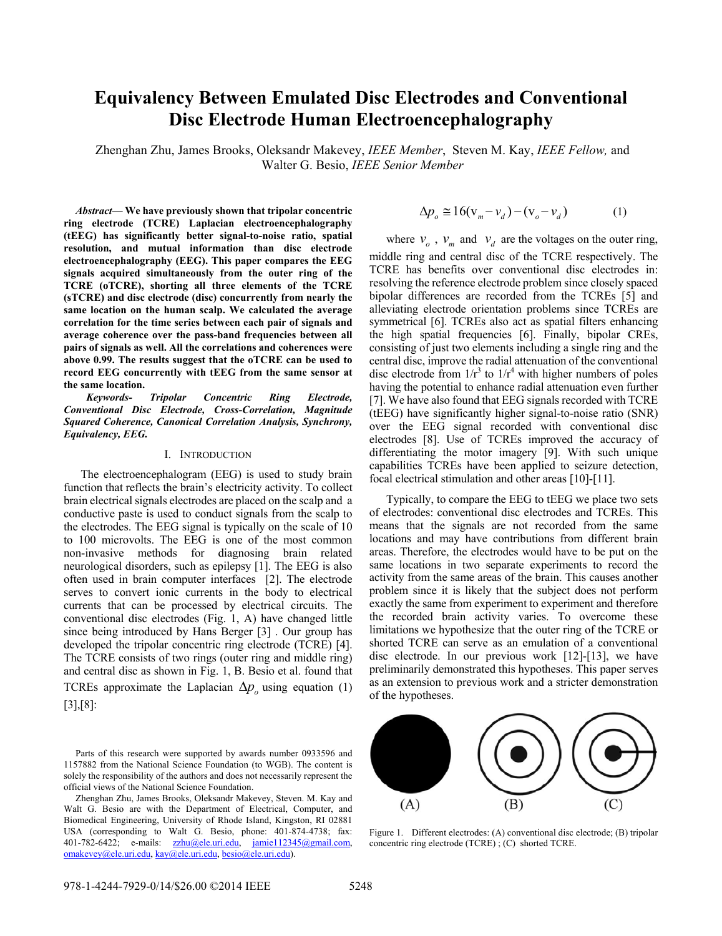# **Equivalency Between Emulated Disc Electrodes and Conventional Disc Electrode Human Electroencephalography**

Zhenghan Zhu, James Brooks, Oleksandr Makevey, *IEEE Member*, Steven M. Kay, *IEEE Fellow,* and Walter G. Besio, *IEEE Senior Member* 

*Abstract***— We have previously shown that tripolar concentric ring electrode (TCRE) Laplacian electroencephalography (tEEG) has significantly better signal-to-noise ratio, spatial resolution, and mutual information than disc electrode electroencephalography (EEG). This paper compares the EEG signals acquired simultaneously from the outer ring of the TCRE (oTCRE), shorting all three elements of the TCRE (sTCRE) and disc electrode (disc) concurrently from nearly the same location on the human scalp. We calculated the average correlation for the time series between each pair of signals and average coherence over the pass-band frequencies between all pairs of signals as well. All the correlations and coherences were above 0.99. The results suggest that the oTCRE can be used to record EEG concurrently with tEEG from the same sensor at the same location.** 

*Keywords- Tripolar Concentric Ring Electrode, Conventional Disc Electrode, Cross-Correlation, Magnitude Squared Coherence, Canonical Correlation Analysis, Synchrony, Equivalency, EEG.* 

#### I. INTRODUCTION

The electroencephalogram (EEG) is used to study brain function that reflects the brain's electricity activity. To collect brain electrical signals electrodes are placed on the scalp and a conductive paste is used to conduct signals from the scalp to the electrodes. The EEG signal is typically on the scale of 10 to 100 microvolts. The EEG is one of the most common non-invasive methods for diagnosing brain related neurological disorders, such as epilepsy [1]. The EEG is also often used in brain computer interfaces [2]. The electrode serves to convert ionic currents in the body to electrical currents that can be processed by electrical circuits. The conventional disc electrodes (Fig. 1, A) have changed little since being introduced by Hans Berger [3] . Our group has developed the tripolar concentric ring electrode (TCRE) [4]. The TCRE consists of two rings (outer ring and middle ring) and central disc as shown in Fig. 1, B. Besio et al. found that TCREs approximate the Laplacian  $\Delta p_o$  using equation (1)

[3],[8]:

Parts of this research were supported by awards number 0933596 and 1157882 from the National Science Foundation (to WGB). The content is solely the responsibility of the authors and does not necessarily represent the official views of the National Science Foundation.

Zhenghan Zhu, James Brooks, Oleksandr Makevey, Steven. M. Kay and Walt G. Besio are with the Department of Electrical, Computer, and Biomedical Engineering, University of Rhode Island, Kingston, RI 02881 USA (corresponding to Walt G. Besio, phone: 401-874-4738; fax: 401-782-6422; e-mails: zzhu@ele.uri.edu, jamie112345@gmail.com, omakevey@ele.uri.edu, kay@ele.uri.edu, besio@ele.uri.edu).

$$
\Delta p_o \cong 16(\mathbf{v}_m - \mathbf{v}_d) - (\mathbf{v}_o - \mathbf{v}_d) \tag{1}
$$

where  $v_o$ ,  $v_m$  and  $v_d$  are the voltages on the outer ring, middle ring and central disc of the TCRE respectively. The TCRE has benefits over conventional disc electrodes in: resolving the reference electrode problem since closely spaced bipolar differences are recorded from the TCREs [5] and alleviating electrode orientation problems since TCREs are symmetrical [6]. TCREs also act as spatial filters enhancing the high spatial frequencies [6]. Finally, bipolar CREs, consisting of just two elements including a single ring and the central disc, improve the radial attenuation of the conventional disc electrode from  $1/r^3$  to  $1/r^4$  with higher numbers of poles having the potential to enhance radial attenuation even further [7]. We have also found that EEG signals recorded with TCRE (tEEG) have significantly higher signal-to-noise ratio (SNR) over the EEG signal recorded with conventional disc electrodes [8]. Use of TCREs improved the accuracy of differentiating the motor imagery [9]. With such unique capabilities TCREs have been applied to seizure detection, focal electrical stimulation and other areas [10]-[11].

Typically, to compare the EEG to tEEG we place two sets of electrodes: conventional disc electrodes and TCREs. This means that the signals are not recorded from the same locations and may have contributions from different brain areas. Therefore, the electrodes would have to be put on the same locations in two separate experiments to record the activity from the same areas of the brain. This causes another problem since it is likely that the subject does not perform exactly the same from experiment to experiment and therefore the recorded brain activity varies. To overcome these limitations we hypothesize that the outer ring of the TCRE or shorted TCRE can serve as an emulation of a conventional disc electrode. In our previous work [12]-[13], we have preliminarily demonstrated this hypotheses. This paper serves as an extension to previous work and a stricter demonstration of the hypotheses.



Figure 1. Different electrodes: (A) conventional disc electrode; (B) tripolar concentric ring electrode (TCRE) ; (C) shorted TCRE.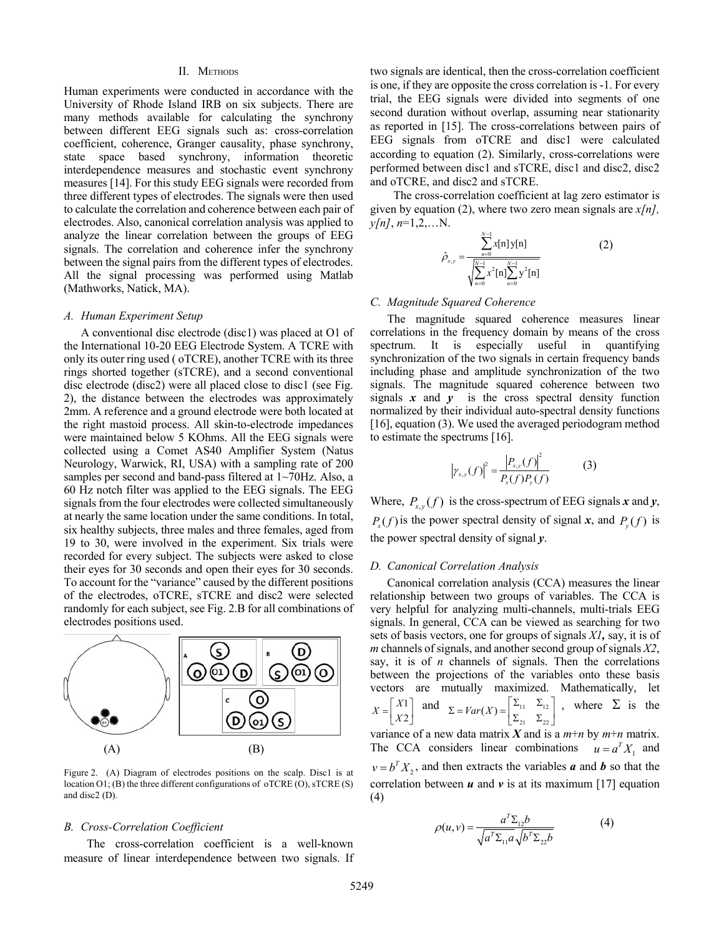#### II. METHODS

Human experiments were conducted in accordance with the University of Rhode Island IRB on six subjects. There are many methods available for calculating the synchrony between different EEG signals such as: cross-correlation coefficient, coherence, Granger causality, phase synchrony, state space based synchrony, information theoretic interdependence measures and stochastic event synchrony measures [14]. For this study EEG signals were recorded from three different types of electrodes. The signals were then used to calculate the correlation and coherence between each pair of electrodes. Also, canonical correlation analysis was applied to analyze the linear correlation between the groups of EEG signals. The correlation and coherence infer the synchrony between the signal pairs from the different types of electrodes. All the signal processing was performed using Matlab (Mathworks, Natick, MA).

#### *A. Human Experiment Setup*

A conventional disc electrode (disc1) was placed at O1 of the International 10-20 EEG Electrode System. A TCRE with only its outer ring used ( oTCRE), another TCRE with its three rings shorted together (sTCRE), and a second conventional disc electrode (disc2) were all placed close to disc1 (see Fig. 2), the distance between the electrodes was approximately 2mm. A reference and a ground electrode were both located at the right mastoid process. All skin-to-electrode impedances were maintained below 5 KOhms. All the EEG signals were collected using a Comet AS40 Amplifier System (Natus Neurology, Warwick, RI, USA) with a sampling rate of 200 samples per second and band-pass filtered at 1~70Hz. Also, a 60 Hz notch filter was applied to the EEG signals. The EEG signals from the four electrodes were collected simultaneously at nearly the same location under the same conditions. In total, six healthy subjects, three males and three females, aged from 19 to 30, were involved in the experiment. Six trials were recorded for every subject. The subjects were asked to close their eyes for 30 seconds and open their eyes for 30 seconds. To account for the "variance" caused by the different positions of the electrodes, oTCRE, sTCRE and disc2 were selected randomly for each subject, see Fig. 2.B for all combinations of electrodes positions used.



Figure 2. (A) Diagram of electrodes positions on the scalp. Disc1 is at location  $O1$ ; (B) the three different configurations of oTCRE (O), sTCRE (S) and disc2 (D).

# *B. Cross-Correlation Coefficient*

The cross-correlation coefficient is a well-known measure of linear interdependence between two signals. If two signals are identical, then the cross-correlation coefficient is one, if they are opposite the cross correlation is -1. For every trial, the EEG signals were divided into segments of one second duration without overlap, assuming near stationarity as reported in [15]. The cross-correlations between pairs of EEG signals from oTCRE and disc1 were calculated according to equation (2). Similarly, cross-correlations were performed between disc1 and sTCRE, disc1 and disc2, disc2 and oTCRE, and disc2 and sTCRE.

The cross-correlation coefficient at lag zero estimator is given by equation (2), where two zero mean signals are *x[n],*   $\n *y*[n], *n*=1,2,...N.$ 

$$
\hat{\rho}_{x,y} = \frac{\sum_{n=0}^{N-1} x[n] y[n]}{\sqrt{\sum_{n=0}^{N-1} x^2 [n] \sum_{n=0}^{N-1} y^2 [n]}}
$$
(2)

#### *C. Magnitude Squared Coherence*

The magnitude squared coherence measures linear correlations in the frequency domain by means of the cross spectrum. It is especially useful in quantifying synchronization of the two signals in certain frequency bands including phase and amplitude synchronization of the two signals. The magnitude squared coherence between two signals  $x$  and  $y$  is the cross spectral density function normalized by their individual auto-spectral density functions [16], equation (3). We used the averaged periodogram method to estimate the spectrums [16].

$$
\left|\gamma_{x,y}(f)\right|^2 = \frac{\left|P_{x,y}(f)\right|^2}{P_x(f)P_y(f)}\tag{3}
$$

Where,  $P_{x,y}(f)$  is the cross-spectrum of EEG signals *x* and *y*,  $P_x(f)$  is the power spectral density of signal *x*, and  $P_y(f)$  is the power spectral density of signal *y*.

#### *D. Canonical Correlation Analysis*

Canonical correlation analysis (CCA) measures the linear relationship between two groups of variables. The CCA is very helpful for analyzing multi-channels, multi-trials EEG signals. In general, CCA can be viewed as searching for two sets of basis vectors, one for groups of signals *X1,* say, it is of *m* channels of signals, and another second group of signals *X2*, say, it is of *n* channels of signals. Then the correlations between the projections of the variables onto these basis vectors are mutually maximized. Mathematically, let 1 2 *X X*  $=\begin{bmatrix} X1 \\ X2 \end{bmatrix}$  and  $\Sigma = Var(X) = \begin{bmatrix} \Sigma_{11} & \Sigma_{12} \\ \Sigma_{21} & \Sigma_{22} \end{bmatrix}$ 21  $-$  22  $\Sigma = Var(X) = \begin{bmatrix} \Sigma_{11} & \Sigma_{12} \\ \Sigma_{21} & \Sigma_{22} \end{bmatrix}$ , where  $\Sigma$  is the variance of a new data matrix  $X$  and is a  $m+n$  by  $m+n$  matrix.

The CCA considers linear combinations  $u = a^T X_1$  and  $v = b^T X_2$ , and then extracts the variables *a* and *b* so that the correlation between  $u$  and  $v$  is at its maximum [17] equation (4)

$$
\rho(u,v) = \frac{a^T \Sigma_{12} b}{\sqrt{a^T \Sigma_{11} a} \sqrt{b^T \Sigma_{22} b}}
$$
(4)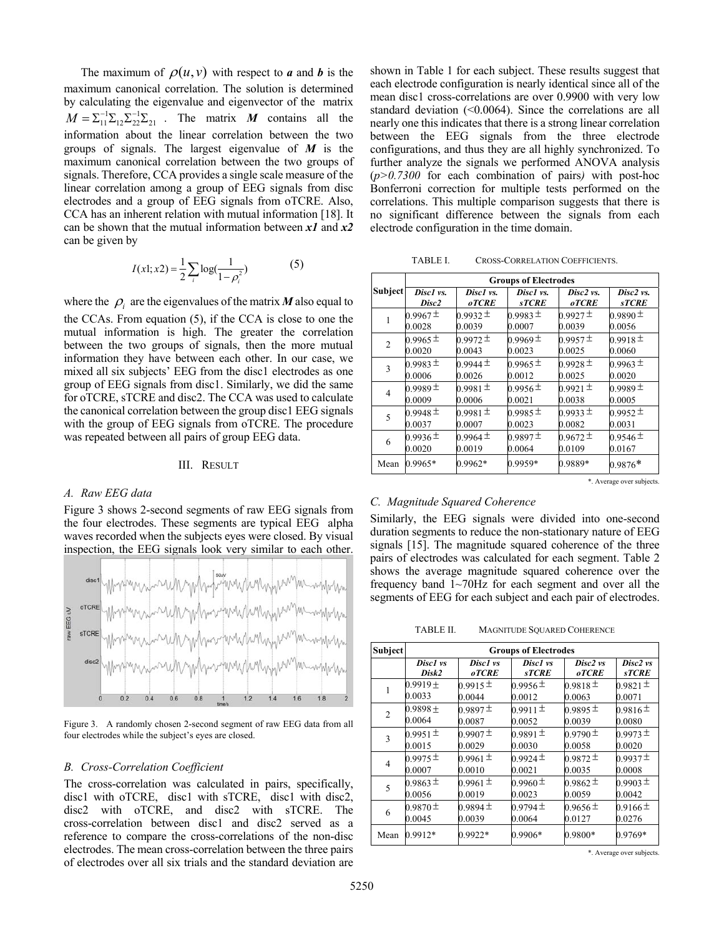The maximum of  $\rho(u, v)$  with respect to *a* and *b* is the maximum canonical correlation. The solution is determined by calculating the eigenvalue and eigenvector of the matrix  $M = \sum_{11}^{-1} \sum_{12} \sum_{22}^{-1} \sum_{21}$ . The matrix *M* contains all the information about the linear correlation between the two groups of signals. The largest eigenvalue of *M* is the maximum canonical correlation between the two groups of signals. Therefore, CCA provides a single scale measure of the linear correlation among a group of EEG signals from disc electrodes and a group of EEG signals from oTCRE. Also, CCA has an inherent relation with mutual information [18]. It can be shown that the mutual information between *x1* and *x2* can be given by

$$
I(x!; x2) = \frac{1}{2} \sum_{i} \log(\frac{1}{1 - \rho_i^2})
$$
 (5)

where the  $\rho_i$  are the eigenvalues of the matrix *M* also equal to the CCAs. From equation (5), if the CCA is close to one the mutual information is high. The greater the correlation between the two groups of signals, then the more mutual information they have between each other. In our case, we mixed all six subjects' EEG from the disc1 electrodes as one group of EEG signals from disc1. Similarly, we did the same for oTCRE, sTCRE and disc2. The CCA was used to calculate the canonical correlation between the group disc1 EEG signals with the group of EEG signals from oTCRE. The procedure was repeated between all pairs of group EEG data.

# III. RESULT

# *A. Raw EEG data*

Figure 3 shows 2-second segments of raw EEG signals from the four electrodes. These segments are typical EEG alpha waves recorded when the subjects eyes were closed. By visual inspection, the EEG signals look very similar to each other.



Figure 3. A randomly chosen 2-second segment of raw EEG data from all four electrodes while the subject's eyes are closed.

## *B. Cross-Correlation Coefficient*

The cross-correlation was calculated in pairs, specifically, disc1 with oTCRE, disc1 with sTCRE, disc1 with disc2, disc2 with oTCRE, and disc2 with sTCRE. The cross-correlation between disc1 and disc2 served as a reference to compare the cross-correlations of the non-disc electrodes. The mean cross-correlation between the three pairs of electrodes over all six trials and the standard deviation are

shown in Table 1 for each subject. These results suggest that each electrode configuration is nearly identical since all of the mean disc1 cross-correlations are over 0.9900 with very low standard deviation (<0.0064). Since the correlations are all nearly one this indicates that there is a strong linear correlation between the EEG signals from the three electrode configurations, and thus they are all highly synchronized. To further analyze the signals we performed ANOVA analysis (*p>0.7300* for each combination of pairs*)* with post-hoc Bonferroni correction for multiple tests performed on the correlations. This multiple comparison suggests that there is no significant difference between the signals from each electrode configuration in the time domain.

| TABLE I. | <b>CROSS-CORRELATION COEFFICIENTS.</b> |
|----------|----------------------------------------|
|          |                                        |

|         | <b>Groups of Electrodes</b> |              |              |              |              |  |
|---------|-----------------------------|--------------|--------------|--------------|--------------|--|
| Subject | Disc1 vs.                   | Disc1 vs.    | Disc1 vs.    | Disc2 vs.    | Disc2 vs.    |  |
|         | Disc <sub>2</sub>           | <b>oTCRE</b> | <b>sTCRE</b> | <b>oTCRE</b> | <b>sTCRE</b> |  |
|         | $0.9967 \pm$                | $0.9932 \pm$ | $0.9983 \pm$ | $0.9927 \pm$ | $0.9890 \pm$ |  |
|         | 0.0028                      | 0.0039       | 0.0007       | 0.0039       | 0.0056       |  |
| 2       | 0.9965 $\pm$                | $0.9972 \pm$ | 0.9969 $\pm$ | $0.9957 \pm$ | $0.9918 \pm$ |  |
|         | 0.0020                      | 0.0043       | 0.0023       | 0.0025       | 0.0060       |  |
| 3       | $0.9983 \pm$                | 0.9944 $\pm$ | 0.9965 $\pm$ | $0.9928 \pm$ | 0.9963 $\pm$ |  |
|         | 0.0006                      | 0.0026       | 0.0012       | 0.0025       | 0.0020       |  |
| 4       | $0.9989 \pm$                | $0.9981 \pm$ | 0.9956 $\pm$ | $0.9921 \pm$ | $0.9989 \pm$ |  |
|         | 0.0009                      | 0.0006       | 0.0021       | 0.0038       | 0.0005       |  |
| 5       | 0.9948 $\pm$                | $0.9981 \pm$ | $0.9985 \pm$ | $0.9933 \pm$ | $0.9952 \pm$ |  |
|         | 0.0037                      | 0.0007       | 0.0023       | 0.0082       | 0.0031       |  |
| 6       | 0.9936 $\pm$                | 0.9964 $\pm$ | $0.9897 \pm$ | $0.9672 \pm$ | 0.9546 $\pm$ |  |
|         | 0.0020                      | 0.0019       | 0.0064       | 0.0109       | 0.0167       |  |
| Mean    | 0.9965*                     | 0.9962*      | 0.9959*      | 0.9889*      | $0.9876*$    |  |

\*. Average over subjects.

## *C. Magnitude Squared Coherence*

Similarly, the EEG signals were divided into one-second duration segments to reduce the non-stationary nature of EEG signals [15]. The magnitude squared coherence of the three pairs of electrodes was calculated for each segment. Table 2 shows the average magnitude squared coherence over the frequency band 1~70Hz for each segment and over all the segments of EEG for each subject and each pair of electrodes.

TABLE II. MAGNITUDE SQUARED COHERENCE

| <b>Subject</b> | <b>Groups of Electrodes</b> |                          |                          |                          |                          |
|----------------|-----------------------------|--------------------------|--------------------------|--------------------------|--------------------------|
|                | Disc1 vs<br>Disk2           | Disc1 vs<br><b>oTCRE</b> | Disc1 vs<br><b>sTCRE</b> | Disc2 vs<br><b>oTCRE</b> | Disc2 vs<br><b>sTCRE</b> |
| 1              | $0.9919 \pm$                | 0.9915 $\pm$             | 0.9956 $\pm$             | $0.9818 \pm$             | $0.9821 \pm$             |
|                | 0.0033                      | 0.0044                   | 0.0012                   | 0.0063                   | 0.0071                   |
| $\overline{c}$ | $0.9898 \pm$                | $0.9897 \pm$             | $0.9911 \pm$             | $0.9895 \pm$             | 0.9816 $\pm$             |
|                | 0.0064                      | 0.0087                   | 0.0052                   | 0.0039                   | 0.0080                   |
| 3              | $0.9951 \pm$                | $0.9907 \pm$             | $0.9891 \pm$             | $0.9790 \pm$             | $0.9973 \pm$             |
|                | 0.0015                      | 0.0029                   | 0.0030                   | 0.0058                   | 0.0020                   |
| 4              | 0.9975 $\pm$                | 0.9961 $\pm$             | 0.9924 $\pm$             | $0.9872 \pm$             | $0.9937 \pm$             |
|                | 0.0007                      | 0.0010                   | 0.0021                   | 0.0035                   | 0.0008                   |
| 5              | $0.9863 \pm$                | $0.9961 \pm$             | $0.9960 \pm$             | $0.9862 \pm$             | $0.9903 \pm$             |
|                | 0.0056                      | 0.0019                   | 0.0023                   | 0.0059                   | 0.0042                   |
| 6              | $0.9870 \pm$                | $0.9894 \pm$             | 0.9794 $\pm$             | 0.9656 $\pm$             | 0.9166 $\pm$             |
|                | 0.0045                      | 0.0039                   | 0.0064                   | 0.0127                   | 0.0276                   |
| Mean           | 0.9912*                     | $0.9922*$                | 0.9906*                  | $0.9800*$                | 0.9769*                  |

\*. Average over subjects.